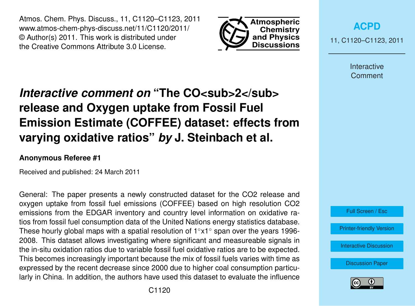Atmos. Chem. Phys. Discuss., 11, C1120–C1123, 2011 www.atmos-chem-phys-discuss.net/11/C1120/2011/ © Author(s) 2011. This work is distributed under the Creative Commons Attribute 3.0 License.



**[ACPD](http://www.atmos-chem-phys-discuss.net)** 11, C1120–C1123, 2011

> Interactive **Comment**

## *Interactive comment on* "The CO<sub>SUD</sub>>2</sub> **release and Oxygen uptake from Fossil Fuel Emission Estimate (COFFEE) dataset: effects from varying oxidative ratios"** *by* **J. Steinbach et al.**

## **Anonymous Referee #1**

Received and published: 24 March 2011

General: The paper presents a newly constructed dataset for the CO2 release and oxygen uptake from fossil fuel emissions (COFFEE) based on high resolution CO2 emissions from the EDGAR inventory and country level information on oxidative ratios from fossil fuel consumption data of the United Nations energy statistics database. These hourly global maps with a spatial resolution of  $1°x1°$  span over the years 1996-2008. This dataset allows investigating where significant and measureable signals in the in-situ oxidation ratios due to variable fossil fuel oxidative ratios are to be expected. This becomes increasingly important because the mix of fossil fuels varies with time as expressed by the recent decrease since 2000 due to higher coal consumption particularly in China. In addition, the authors have used this dataset to evaluate the influence



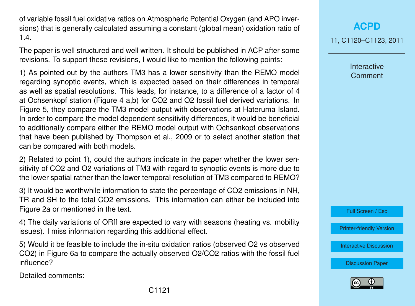of variable fossil fuel oxidative ratios on Atmospheric Potential Oxygen (and APO inversions) that is generally calculated assuming a constant (global mean) oxidation ratio of 1.4.

The paper is well structured and well written. It should be published in ACP after some revisions. To support these revisions, I would like to mention the following points:

1) As pointed out by the authors TM3 has a lower sensitivity than the REMO model regarding synoptic events, which is expected based on their differences in temporal as well as spatial resolutions. This leads, for instance, to a difference of a factor of 4 at Ochsenkopf station (Figure 4 a,b) for CO2 and O2 fossil fuel derived variations. In Figure 5, they compare the TM3 model output with observations at Hateruma Island. In order to compare the model dependent sensitivity differences, it would be beneficial to additionally compare either the REMO model output with Ochsenkopf observations that have been published by Thompson et al., 2009 or to select another station that can be compared with both models.

2) Related to point 1), could the authors indicate in the paper whether the lower sensitivity of CO2 and O2 variations of TM3 with regard to synoptic events is more due to the lower spatial rather than the lower temporal resolution of TM3 compared to REMO?

3) It would be worthwhile information to state the percentage of CO2 emissions in NH, TR and SH to the total CO2 emissions. This information can either be included into Figure 2a or mentioned in the text.

4) The daily variations of ORff are expected to vary with seasons (heating vs. mobility issues). I miss information regarding this additional effect.

5) Would it be feasible to include the in-situ oxidation ratios (observed O2 vs observed CO2) in Figure 6a to compare the actually observed O2/CO2 ratios with the fossil fuel influence?

Detailed comments:

Interactive **Comment** 

Full Screen / Esc

[Printer-friendly Version](http://www.atmos-chem-phys-discuss.net/11/C1120/2011/acpd-11-C1120-2011-print.pdf)

[Interactive Discussion](http://www.atmos-chem-phys-discuss.net/11/6187/2011/acpd-11-6187-2011-discussion.html)

[Discussion Paper](http://www.atmos-chem-phys-discuss.net/11/6187/2011/acpd-11-6187-2011.pdf)

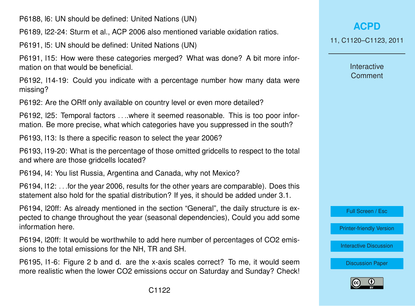P6188, l6: UN should be defined: United Nations (UN)

P6189, l22-24: Sturm et al., ACP 2006 also mentioned variable oxidation ratios.

P6191, l5: UN should be defined: United Nations (UN)

P6191, l15: How were these categories merged? What was done? A bit more information on that would be beneficial.

P6192, l14-19: Could you indicate with a percentage number how many data were missing?

P6192: Are the ORff only available on country level or even more detailed?

P6192, l25: Temporal factors . . ..where it seemed reasonable. This is too poor information. Be more precise, what which categories have you suppressed in the south?

P6193, l13: Is there a specific reason to select the year 2006?

P6193, l19-20: What is the percentage of those omitted gridcells to respect to the total and where are those gridcells located?

P6194, l4: You list Russia, Argentina and Canada, why not Mexico?

P6194, l12: . . .for the year 2006, results for the other years are comparable). Does this statement also hold for the spatial distribution? If yes, it should be added under 3.1.

P6194, l20ff: As already mentioned in the section "General", the daily structure is expected to change throughout the year (seasonal dependencies), Could you add some information here.

P6194, l20ff: It would be worthwhile to add here number of percentages of CO2 emissions to the total emissions for the NH, TR and SH.

P6195, l1-6: Figure 2 b and d. are the x-axis scales correct? To me, it would seem more realistic when the lower CO2 emissions occur on Saturday and Sunday? Check!

**[ACPD](http://www.atmos-chem-phys-discuss.net)** 11, C1120–C1123, 2011

> Interactive **Comment**

Full Screen / Esc

[Printer-friendly Version](http://www.atmos-chem-phys-discuss.net/11/C1120/2011/acpd-11-C1120-2011-print.pdf)

[Interactive Discussion](http://www.atmos-chem-phys-discuss.net/11/6187/2011/acpd-11-6187-2011-discussion.html)

[Discussion Paper](http://www.atmos-chem-phys-discuss.net/11/6187/2011/acpd-11-6187-2011.pdf)